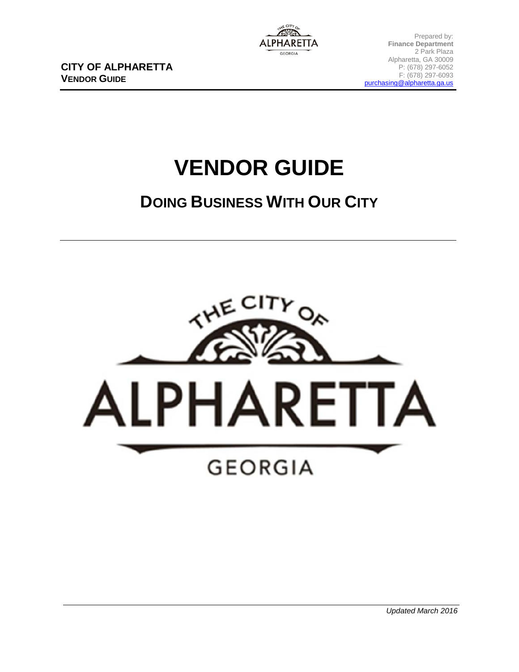**CITY OF ALPHARETTA VENDOR GUIDE**

# **VENDOR GUIDE**

## **DOING BUSINESS WITH OUR CITY**

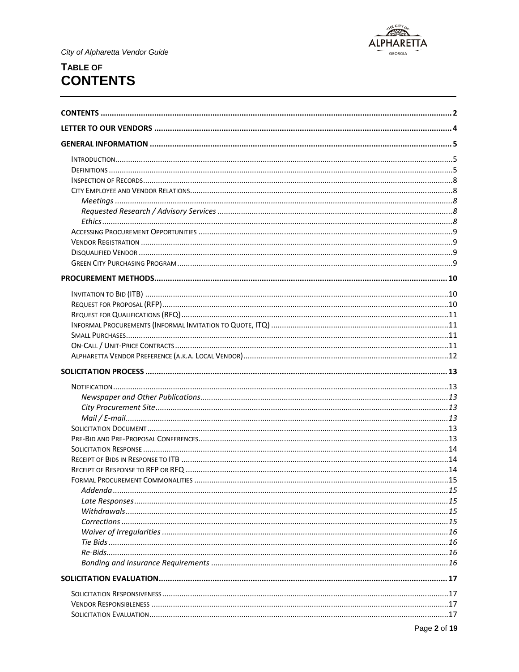

## <span id="page-1-0"></span>TABLE OF **CONTENTS**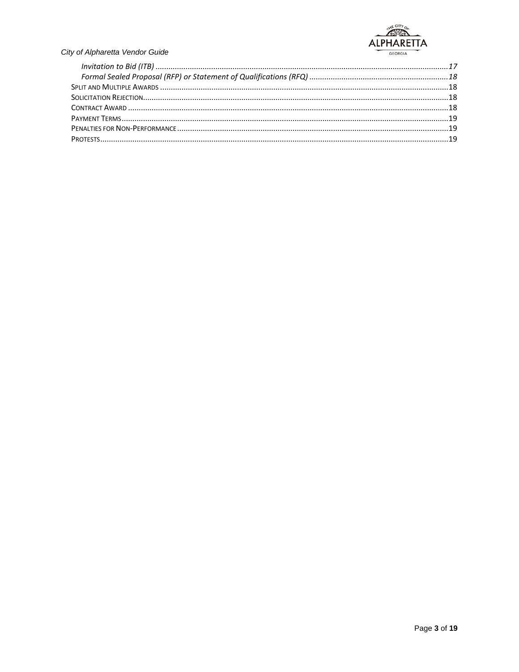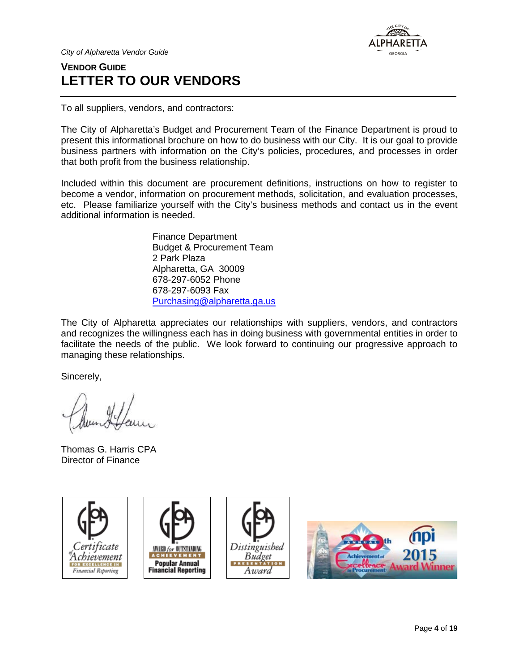

## <span id="page-3-0"></span>**VENDOR GUIDE LETTER TO OUR VENDORS**

To all suppliers, vendors, and contractors:

The City of Alpharetta's Budget and Procurement Team of the Finance Department is proud to present this informational brochure on how to do business with our City. It is our goal to provide business partners with information on the City's policies, procedures, and processes in order that both profit from the business relationship.

Included within this document are procurement definitions, instructions on how to register to become a vendor, information on procurement methods, solicitation, and evaluation processes, etc. Please familiarize yourself with the City's business methods and contact us in the event additional information is needed.

> Finance Department Budget & Procurement Team 2 Park Plaza Alpharetta, GA 30009 678-297-6052 Phone 678-297-6093 Fax [Purchasing@alpharetta.ga.us](mailto:Purchasing@alpharetta.ga.us)

The City of Alpharetta appreciates our relationships with suppliers, vendors, and contractors and recognizes the willingness each has in doing business with governmental entities in order to facilitate the needs of the public. We look forward to continuing our progressive approach to managing these relationships.

Sincerely,

Thomas G. Harris CPA Director of Finance

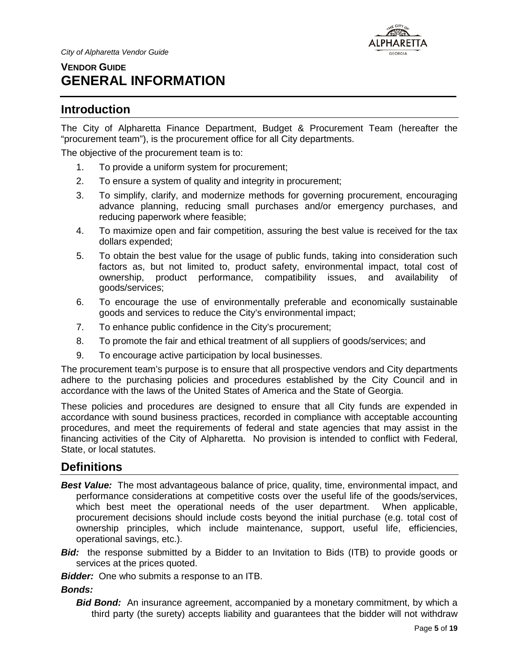

## <span id="page-4-0"></span>**VENDOR GUIDE GENERAL INFORMATION**

#### <span id="page-4-1"></span>**Introduction**

The City of Alpharetta Finance Department, Budget & Procurement Team (hereafter the "procurement team"), is the procurement office for all City departments.

The objective of the procurement team is to:

- 1. To provide a uniform system for procurement;
- 2. To ensure a system of quality and integrity in procurement;
- 3. To simplify, clarify, and modernize methods for governing procurement, encouraging advance planning, reducing small purchases and/or emergency purchases, and reducing paperwork where feasible;
- 4. To maximize open and fair competition, assuring the best value is received for the tax dollars expended;
- 5. To obtain the best value for the usage of public funds, taking into consideration such factors as, but not limited to, product safety, environmental impact, total cost of ownership, product performance, compatibility issues, and availability of goods/services;
- 6. To encourage the use of environmentally preferable and economically sustainable goods and services to reduce the City's environmental impact;
- 7. To enhance public confidence in the City's procurement;
- 8. To promote the fair and ethical treatment of all suppliers of goods/services; and
- 9. To encourage active participation by local businesses.

The procurement team's purpose is to ensure that all prospective vendors and City departments adhere to the purchasing policies and procedures established by the City Council and in accordance with the laws of the United States of America and the State of Georgia.

These policies and procedures are designed to ensure that all City funds are expended in accordance with sound business practices, recorded in compliance with acceptable accounting procedures, and meet the requirements of federal and state agencies that may assist in the financing activities of the City of Alpharetta. No provision is intended to conflict with Federal, State, or local statutes.

## <span id="page-4-2"></span>**Definitions**

- **Best Value:** The most advantageous balance of price, quality, time, environmental impact, and performance considerations at competitive costs over the useful life of the goods/services, which best meet the operational needs of the user department. When applicable, procurement decisions should include costs beyond the initial purchase (e.g. total cost of ownership principles, which include maintenance, support, useful life, efficiencies, operational savings, etc.).
- *Bid:* the response submitted by a Bidder to an Invitation to Bids (ITB) to provide goods or services at the prices quoted.
- *Bidder:* One who submits a response to an ITB.

*Bonds:*

*Bid Bond:* An insurance agreement, accompanied by a monetary commitment, by which a third party (the surety) accepts liability and guarantees that the bidder will not withdraw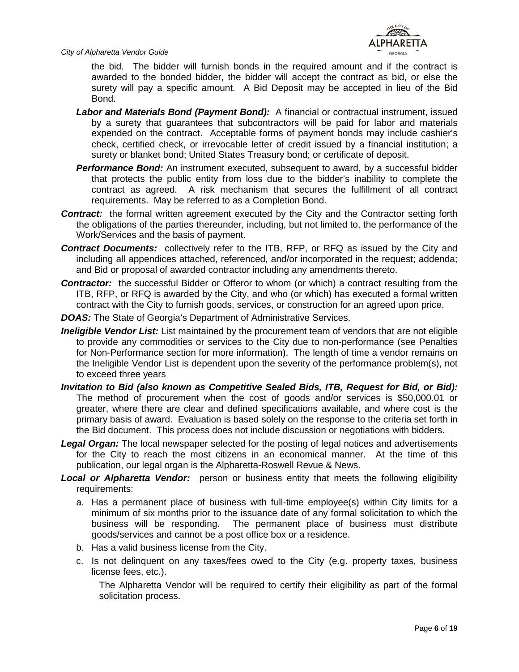

the bid. The bidder will furnish bonds in the required amount and if the contract is awarded to the bonded bidder, the bidder will accept the contract as bid, or else the surety will pay a specific amount. A Bid Deposit may be accepted in lieu of the Bid Bond.

- *Labor and Materials Bond (Payment Bond):* A financial or contractual instrument, issued by a surety that guarantees that subcontractors will be paid for labor and materials expended on the contract. Acceptable forms of payment bonds may include cashier's check, certified check, or irrevocable letter of credit issued by a financial institution; a surety or blanket bond; United States Treasury bond; or certificate of deposit.
- **Performance Bond:** An instrument executed, subsequent to award, by a successful bidder that protects the public entity from loss due to the bidder's inability to complete the contract as agreed. A risk mechanism that secures the fulfillment of all contract requirements.May be referred to as a Completion Bond.
- **Contract:** the formal written agreement executed by the City and the Contractor setting forth the obligations of the parties thereunder, including, but not limited to, the performance of the Work/Services and the basis of payment.
- *Contract Documents:* collectively refer to the ITB, RFP, or RFQ as issued by the City and including all appendices attached, referenced, and/or incorporated in the request; addenda; and Bid or proposal of awarded contractor including any amendments thereto.
- **Contractor:** the successful Bidder or Offeror to whom (or which) a contract resulting from the ITB, RFP, or RFQ is awarded by the City, and who (or which) has executed a formal written contract with the City to furnish goods, services, or construction for an agreed upon price.
- **DOAS:** The State of Georgia's Department of Administrative Services.
- *Ineligible Vendor List:* List maintained by the procurement team of vendors that are not eligible to provide any commodities or services to the City due to non-performance (see Penalties for Non-Performance section for more information). The length of time a vendor remains on the Ineligible Vendor List is dependent upon the severity of the performance problem(s), not to exceed three years
- *Invitation to Bid (also known as Competitive Sealed Bids, ITB, Request for Bid, or Bid):* The method of procurement when the cost of goods and/or services is \$50,000.01 or greater, where there are clear and defined specifications available, and where cost is the primary basis of award. Evaluation is based solely on the response to the criteria set forth in the Bid document. This process does not include discussion or negotiations with bidders.
- *Legal Organ:* The local newspaper selected for the posting of legal notices and advertisements for the City to reach the most citizens in an economical manner. At the time of this publication, our legal organ is the Alpharetta-Roswell Revue & News.
- **Local or Alpharetta Vendor:** person or business entity that meets the following eligibility requirements:
	- a. Has a permanent place of business with full-time employee(s) within City limits for a minimum of six months prior to the issuance date of any formal solicitation to which the business will be responding. The permanent place of business must distribute goods/services and cannot be a post office box or a residence.
	- b. Has a valid business license from the City.
	- c. Is not delinquent on any taxes/fees owed to the City (e.g. property taxes, business license fees, etc.).

The Alpharetta Vendor will be required to certify their eligibility as part of the formal solicitation process.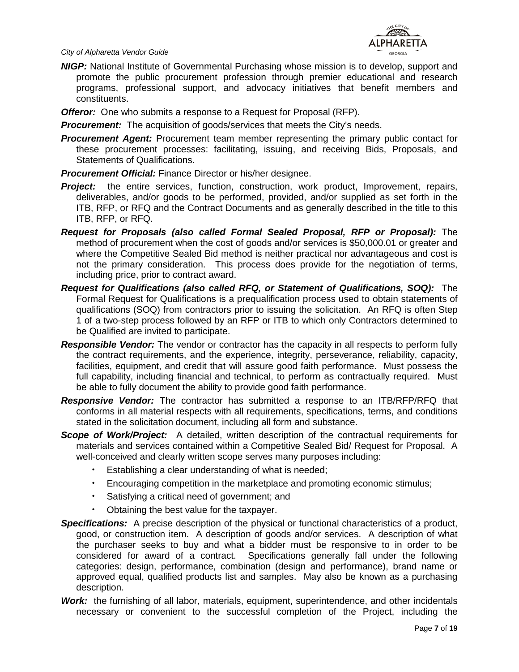

*NIGP:* National Institute of Governmental Purchasing whose mission is to develop, support and promote the public procurement profession through premier educational and research programs, professional support, and advocacy initiatives that benefit members and constituents.

*Offeror:* One who submits a response to a Request for Proposal (RFP).

*Procurement:* The acquisition of goods/services that meets the City's needs.

- **Procurement Agent:** Procurement team member representing the primary public contact for these procurement processes: facilitating, issuing, and receiving Bids, Proposals, and Statements of Qualifications.
- *Procurement Official:* Finance Director or his/her designee.
- **Project:** the entire services, function, construction, work product, Improvement, repairs, deliverables, and/or goods to be performed, provided, and/or supplied as set forth in the ITB, RFP, or RFQ and the Contract Documents and as generally described in the title to this ITB, RFP, or RFQ.
- *Request for Proposals (also called Formal Sealed Proposal, RFP or Proposal):* The method of procurement when the cost of goods and/or services is \$50,000.01 or greater and where the Competitive Sealed Bid method is neither practical nor advantageous and cost is not the primary consideration. This process does provide for the negotiation of terms, including price, prior to contract award.
- *Request for Qualifications (also called RFQ, or Statement of Qualifications, SOQ):* The Formal Request for Qualifications is a prequalification process used to obtain statements of qualifications (SOQ) from contractors prior to issuing the solicitation. An RFQ is often Step 1 of a two-step process followed by an RFP or ITB to which only Contractors determined to be Qualified are invited to participate.
- *Responsible Vendor:* The vendor or contractor has the capacity in all respects to perform fully the contract requirements, and the experience, integrity, perseverance, reliability, capacity, facilities, equipment, and credit that will assure good faith performance. Must possess the full capability, including financial and technical, to perform as contractually required. Must be able to fully document the ability to provide good faith performance.
- *Responsive Vendor:* The contractor has submitted a response to an ITB/RFP/RFQ that conforms in all material respects with all requirements, specifications, terms, and conditions stated in the solicitation document, including all form and substance.
- **Scope of Work/Project:** A detailed, written description of the contractual requirements for materials and services contained within a Competitive Sealed Bid/ Request for Proposal. A well-conceived and clearly written scope serves many purposes including:
	- Establishing a clear understanding of what is needed;
	- Encouraging competition in the marketplace and promoting economic stimulus;
	- Satisfying a critical need of government; and
	- Obtaining the best value for the taxpayer.
- **Specifications:** A precise description of the physical or functional characteristics of a product, good, or construction item. A description of goods and/or services. A description of what the purchaser seeks to buy and what a bidder must be responsive to in order to be considered for award of a contract. Specifications generally fall under the following categories: design, performance, combination (design and performance), brand name or approved equal, qualified products list and samples. May also be known as a purchasing description.
- *Work:* the furnishing of all labor, materials, equipment, superintendence, and other incidentals necessary or convenient to the successful completion of the Project, including the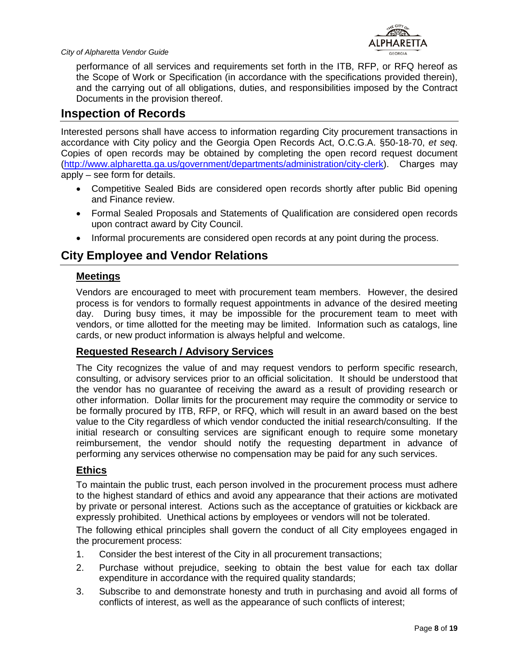

performance of all services and requirements set forth in the ITB, RFP, or RFQ hereof as the Scope of Work or Specification (in accordance with the specifications provided therein), and the carrying out of all obligations, duties, and responsibilities imposed by the Contract Documents in the provision thereof.

#### <span id="page-7-0"></span>**Inspection of Records**

Interested persons shall have access to information regarding City procurement transactions in accordance with City policy and the Georgia Open Records Act, O.C.G.A. §50-18-70, *et seq*. Copies of open records may be obtained by completing the open record request document [\(http://www.alpharetta.ga.us/government/departments/administration/city-clerk\)](http://www.alpharetta.ga.us/government/departments/administration/city-clerk). Charges may apply – see form for details.

- Competitive Sealed Bids are considered open records shortly after public Bid opening and Finance review.
- Formal Sealed Proposals and Statements of Qualification are considered open records upon contract award by City Council.
- Informal procurements are considered open records at any point during the process.

## <span id="page-7-1"></span>**City Employee and Vendor Relations**

#### <span id="page-7-2"></span>**Meetings**

Vendors are encouraged to meet with procurement team members. However, the desired process is for vendors to formally request appointments in advance of the desired meeting day. During busy times, it may be impossible for the procurement team to meet with vendors, or time allotted for the meeting may be limited. Information such as catalogs, line cards, or new product information is always helpful and welcome.

#### <span id="page-7-3"></span>**Requested Research / Advisory Services**

The City recognizes the value of and may request vendors to perform specific research, consulting, or advisory services prior to an official solicitation. It should be understood that the vendor has no guarantee of receiving the award as a result of providing research or other information. Dollar limits for the procurement may require the commodity or service to be formally procured by ITB, RFP, or RFQ, which will result in an award based on the best value to the City regardless of which vendor conducted the initial research/consulting. If the initial research or consulting services are significant enough to require some monetary reimbursement, the vendor should notify the requesting department in advance of performing any services otherwise no compensation may be paid for any such services.

#### <span id="page-7-4"></span>**Ethics**

To maintain the public trust, each person involved in the procurement process must adhere to the highest standard of ethics and avoid any appearance that their actions are motivated by private or personal interest. Actions such as the acceptance of gratuities or kickback are expressly prohibited. Unethical actions by employees or vendors will not be tolerated.

The following ethical principles shall govern the conduct of all City employees engaged in the procurement process:

- 1. Consider the best interest of the City in all procurement transactions;
- 2. Purchase without prejudice, seeking to obtain the best value for each tax dollar expenditure in accordance with the required quality standards;
- 3. Subscribe to and demonstrate honesty and truth in purchasing and avoid all forms of conflicts of interest, as well as the appearance of such conflicts of interest;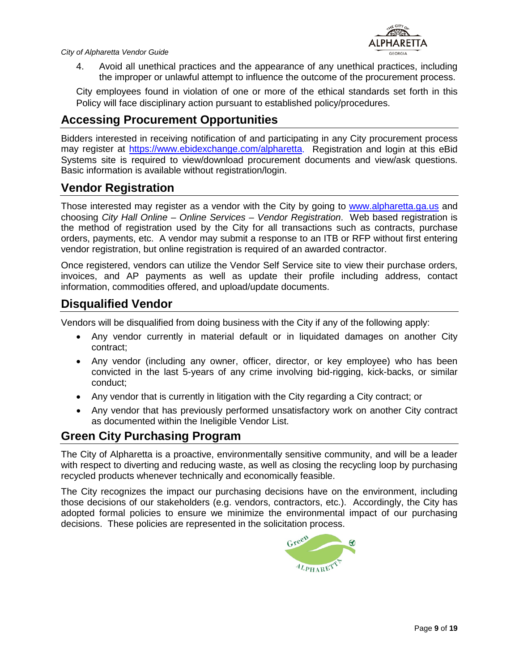

4. Avoid all unethical practices and the appearance of any unethical practices, including the improper or unlawful attempt to influence the outcome of the procurement process.

City employees found in violation of one or more of the ethical standards set forth in this Policy will face disciplinary action pursuant to established policy/procedures.

## <span id="page-8-0"></span>**Accessing Procurement Opportunities**

Bidders interested in receiving notification of and participating in any City procurement process may register at [https://www.ebidexchange.com/alpharetta.](https://www.ebidexchange.com/alpharetta) Registration and login at this eBid Systems site is required to view/download procurement documents and view/ask questions. Basic information is available without registration/login.

#### <span id="page-8-1"></span>**Vendor Registration**

Those interested may register as a vendor with the City by going to [www.alpharetta.ga.us](http://www.alpharetta.ga.us/) and choosing *City Hall Online – Online Services – Vendor Registration*. Web based registration is the method of registration used by the City for all transactions such as contracts, purchase orders, payments, etc. A vendor may submit a response to an ITB or RFP without first entering vendor registration, but online registration is required of an awarded contractor.

Once registered, vendors can utilize the Vendor Self Service site to view their purchase orders, invoices, and AP payments as well as update their profile including address, contact information, commodities offered, and upload/update documents.

#### <span id="page-8-2"></span>**Disqualified Vendor**

Vendors will be disqualified from doing business with the City if any of the following apply:

- Any vendor currently in material default or in liquidated damages on another City contract;
- Any vendor (including any owner, officer, director, or key employee) who has been convicted in the last 5-years of any crime involving bid-rigging, kick-backs, or similar conduct;
- Any vendor that is currently in litigation with the City regarding a City contract; or
- Any vendor that has previously performed unsatisfactory work on another City contract as documented within the Ineligible Vendor List.

#### <span id="page-8-3"></span>**Green City Purchasing Program**

The City of Alpharetta is a proactive, environmentally sensitive community, and will be a leader with respect to diverting and reducing waste, as well as closing the recycling loop by purchasing recycled products whenever technically and economically feasible.

The City recognizes the impact our purchasing decisions have on the environment, including those decisions of our stakeholders (e.g. vendors, contractors, etc.). Accordingly, the City has adopted formal policies to ensure we minimize the environmental impact of our purchasing decisions. These policies are represented in the solicitation process.

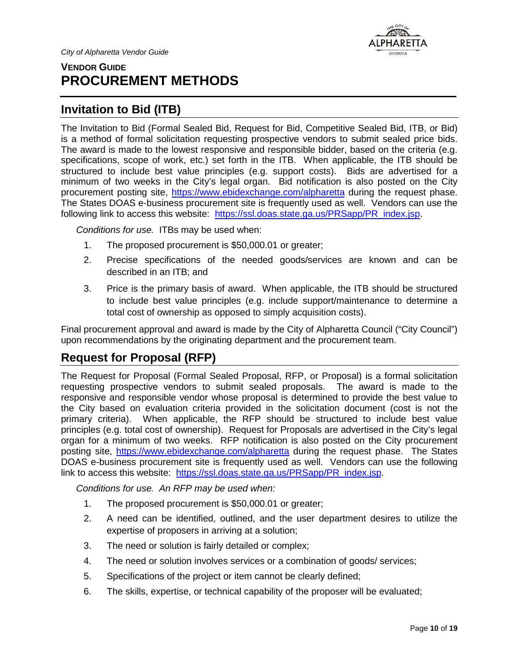## <span id="page-9-0"></span>**VENDOR GUIDE PROCUREMENT METHODS**



\LPHARETTA **GEORGIA** 

#### <span id="page-9-1"></span>**Invitation to Bid (ITB)**

The Invitation to Bid (Formal Sealed Bid, Request for Bid, Competitive Sealed Bid, ITB, or Bid) is a method of formal solicitation requesting prospective vendors to submit sealed price bids. The award is made to the lowest responsive and responsible bidder, based on the criteria (e.g. specifications, scope of work, etc.) set forth in the ITB. When applicable, the ITB should be structured to include best value principles (e.g. support costs). Bids are advertised for a minimum of two weeks in the City's legal organ. Bid notification is also posted on the City procurement posting site, <https://www.ebidexchange.com/alpharetta> during the request phase. The States DOAS e-business procurement site is frequently used as well. Vendors can use the following link to access this website: [https://ssl.doas.state.ga.us/PRSapp/PR\\_index.jsp.](https://ssl.doas.state.ga.us/PRSapp/PR_index.jsp)

*Conditions for use.* ITBs may be used when:

- 1. The proposed procurement is \$50,000.01 or greater;
- 2. Precise specifications of the needed goods/services are known and can be described in an ITB; and
- 3. Price is the primary basis of award. When applicable, the ITB should be structured to include best value principles (e.g. include support/maintenance to determine a total cost of ownership as opposed to simply acquisition costs).

Final procurement approval and award is made by the City of Alpharetta Council ("City Council") upon recommendations by the originating department and the procurement team.

## <span id="page-9-2"></span>**Request for Proposal (RFP)**

The Request for Proposal (Formal Sealed Proposal, RFP, or Proposal) is a formal solicitation requesting prospective vendors to submit sealed proposals. The award is made to the responsive and responsible vendor whose proposal is determined to provide the best value to the City based on evaluation criteria provided in the solicitation document (cost is not the primary criteria). When applicable, the RFP should be structured to include best value principles (e.g. total cost of ownership). Request for Proposals are advertised in the City's legal organ for a minimum of two weeks. RFP notification is also posted on the City procurement posting site, <https://www.ebidexchange.com/alpharetta> during the request phase. The States DOAS e-business procurement site is frequently used as well. Vendors can use the following link to access this website: [https://ssl.doas.state.ga.us/PRSapp/PR\\_index.jsp.](https://ssl.doas.state.ga.us/PRSapp/PR_index.jsp)

*Conditions for use. An RFP may be used when:*

- 1. The proposed procurement is \$50,000.01 or greater;
- 2. A need can be identified, outlined, and the user department desires to utilize the expertise of proposers in arriving at a solution;
- 3. The need or solution is fairly detailed or complex;
- 4. The need or solution involves services or a combination of goods/ services;
- 5. Specifications of the project or item cannot be clearly defined;
- 6. The skills, expertise, or technical capability of the proposer will be evaluated;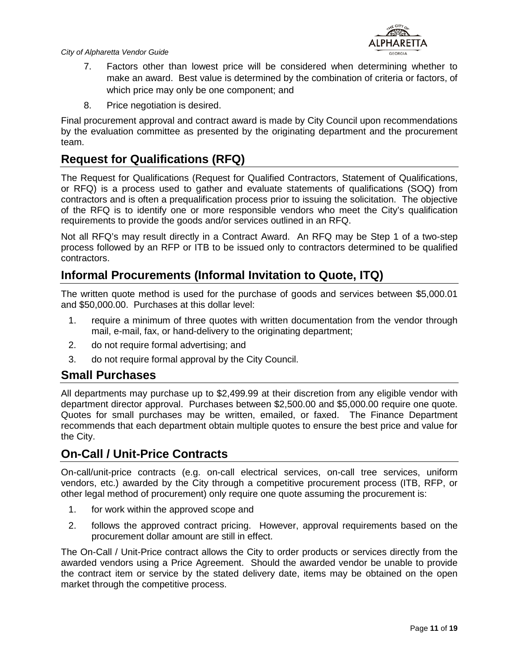

- 7. Factors other than lowest price will be considered when determining whether to make an award. Best value is determined by the combination of criteria or factors, of which price may only be one component; and
- 8. Price negotiation is desired.

Final procurement approval and contract award is made by City Council upon recommendations by the evaluation committee as presented by the originating department and the procurement team.

## <span id="page-10-0"></span>**Request for Qualifications (RFQ)**

The Request for Qualifications (Request for Qualified Contractors, Statement of Qualifications, or RFQ) is a process used to gather and evaluate statements of qualifications (SOQ) from contractors and is often a prequalification process prior to issuing the solicitation. The objective of the RFQ is to identify one or more responsible vendors who meet the City's qualification requirements to provide the goods and/or services outlined in an RFQ.

Not all RFQ's may result directly in a Contract Award. An RFQ may be Step 1 of a two-step process followed by an RFP or ITB to be issued only to contractors determined to be qualified contractors.

#### <span id="page-10-1"></span>**Informal Procurements (Informal Invitation to Quote, ITQ)**

The written quote method is used for the purchase of goods and services between \$5,000.01 and \$50,000.00. Purchases at this dollar level:

- 1. require a minimum of three quotes with written documentation from the vendor through mail, e-mail, fax, or hand-delivery to the originating department;
- 2. do not require formal advertising; and
- 3. do not require formal approval by the City Council.

#### <span id="page-10-2"></span>**Small Purchases**

All departments may purchase up to \$2,499.99 at their discretion from any eligible vendor with department director approval. Purchases between \$2,500.00 and \$5,000.00 require one quote. Quotes for small purchases may be written, emailed, or faxed. The Finance Department recommends that each department obtain multiple quotes to ensure the best price and value for the City.

#### <span id="page-10-3"></span>**On-Call / Unit-Price Contracts**

On-call/unit-price contracts (e.g. on-call electrical services, on-call tree services, uniform vendors, etc.) awarded by the City through a competitive procurement process (ITB, RFP, or other legal method of procurement) only require one quote assuming the procurement is:

- 1. for work within the approved scope and
- 2. follows the approved contract pricing. However, approval requirements based on the procurement dollar amount are still in effect.

The On-Call / Unit-Price contract allows the City to order products or services directly from the awarded vendors using a Price Agreement. Should the awarded vendor be unable to provide the contract item or service by the stated delivery date, items may be obtained on the open market through the competitive process.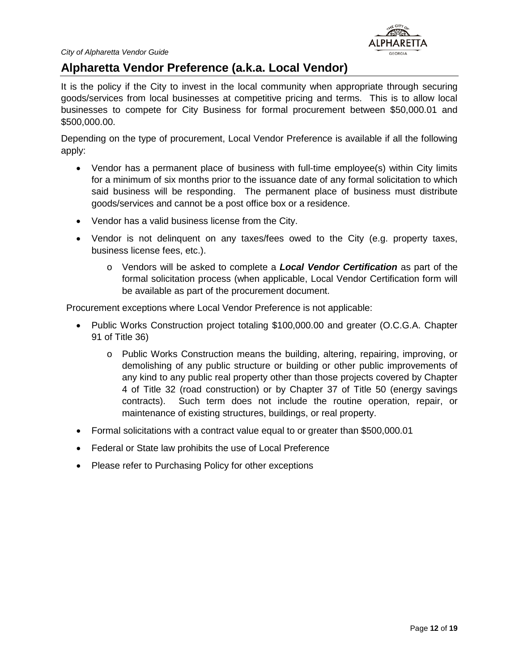

#### <span id="page-11-0"></span>**Alpharetta Vendor Preference (a.k.a. Local Vendor)**

It is the policy if the City to invest in the local community when appropriate through securing goods/services from local businesses at competitive pricing and terms. This is to allow local businesses to compete for City Business for formal procurement between \$50,000.01 and \$500,000.00.

Depending on the type of procurement, Local Vendor Preference is available if all the following apply:

- Vendor has a permanent place of business with full-time employee(s) within City limits for a minimum of six months prior to the issuance date of any formal solicitation to which said business will be responding. The permanent place of business must distribute goods/services and cannot be a post office box or a residence.
- Vendor has a valid business license from the City.
- Vendor is not delinquent on any taxes/fees owed to the City (e.g. property taxes, business license fees, etc.).
	- o Vendors will be asked to complete a *Local Vendor Certification* as part of the formal solicitation process (when applicable, Local Vendor Certification form will be available as part of the procurement document.

Procurement exceptions where Local Vendor Preference is not applicable:

- Public Works Construction project totaling \$100,000.00 and greater (O.C.G.A. Chapter 91 of Title 36)
	- o Public Works Construction means the building, altering, repairing, improving, or demolishing of any public structure or building or other public improvements of any kind to any public real property other than those projects covered by Chapter 4 of Title 32 (road construction) or by Chapter 37 of Title 50 (energy savings contracts). Such term does not include the routine operation, repair, or maintenance of existing structures, buildings, or real property.
- Formal solicitations with a contract value equal to or greater than \$500,000.01
- Federal or State law prohibits the use of Local Preference
- Please refer to Purchasing Policy for other exceptions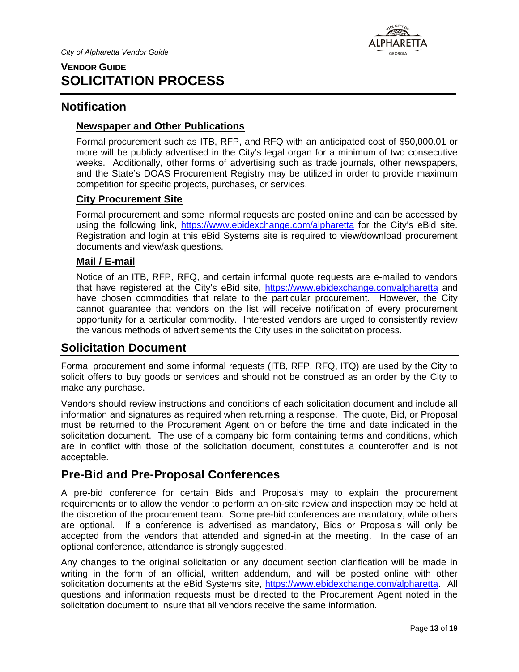

## <span id="page-12-0"></span>**VENDOR GUIDE SOLICITATION PROCESS**

#### <span id="page-12-1"></span>**Notification**

#### <span id="page-12-2"></span>**Newspaper and Other Publications**

Formal procurement such as ITB, RFP, and RFQ with an anticipated cost of \$50,000.01 or more will be publicly advertised in the City's legal organ for a minimum of two consecutive weeks. Additionally, other forms of advertising such as trade journals, other newspapers, and the State's DOAS Procurement Registry may be utilized in order to provide maximum competition for specific projects, purchases, or services.

#### <span id="page-12-3"></span>**City Procurement Site**

Formal procurement and some informal requests are posted online and can be accessed by using the following link, <https://www.ebidexchange.com/alpharetta> for the City's eBid site. Registration and login at this eBid Systems site is required to view/download procurement documents and view/ask questions.

#### <span id="page-12-4"></span>**Mail / E-mail**

Notice of an ITB, RFP, RFQ, and certain informal quote requests are e-mailed to vendors that have registered at the City's eBid site,<https://www.ebidexchange.com/alpharetta> and have chosen commodities that relate to the particular procurement. However, the City cannot guarantee that vendors on the list will receive notification of every procurement opportunity for a particular commodity. Interested vendors are urged to consistently review the various methods of advertisements the City uses in the solicitation process.

#### <span id="page-12-5"></span>**Solicitation Document**

Formal procurement and some informal requests (ITB, RFP, RFQ, ITQ) are used by the City to solicit offers to buy goods or services and should not be construed as an order by the City to make any purchase.

Vendors should review instructions and conditions of each solicitation document and include all information and signatures as required when returning a response. The quote, Bid, or Proposal must be returned to the Procurement Agent on or before the time and date indicated in the solicitation document. The use of a company bid form containing terms and conditions, which are in conflict with those of the solicitation document, constitutes a counteroffer and is not acceptable.

## <span id="page-12-6"></span>**Pre-Bid and Pre-Proposal Conferences**

A pre-bid conference for certain Bids and Proposals may to explain the procurement requirements or to allow the vendor to perform an on-site review and inspection may be held at the discretion of the procurement team. Some pre-bid conferences are mandatory, while others are optional. If a conference is advertised as mandatory, Bids or Proposals will only be accepted from the vendors that attended and signed-in at the meeting. In the case of an optional conference, attendance is strongly suggested.

Any changes to the original solicitation or any document section clarification will be made in writing in the form of an official, written addendum, and will be posted online with other solicitation documents at the eBid Systems site, [https://www.ebidexchange.com/alpharetta.](https://www.ebidexchange.com/alpharetta) All questions and information requests must be directed to the Procurement Agent noted in the solicitation document to insure that all vendors receive the same information.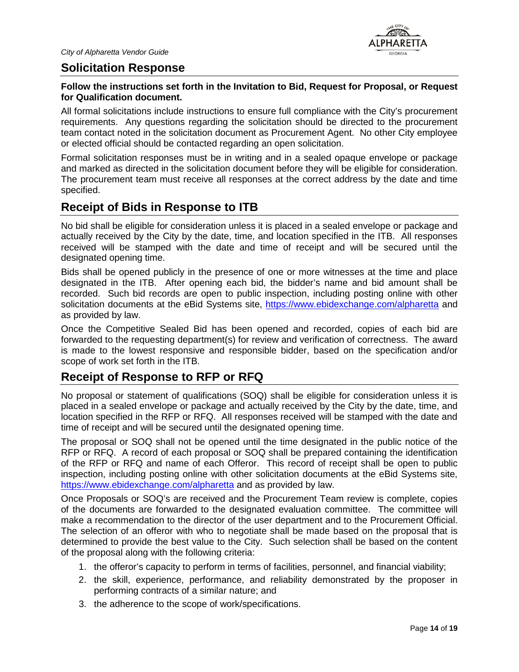

#### <span id="page-13-0"></span>**Solicitation Response**

#### **Follow the instructions set forth in the Invitation to Bid, Request for Proposal, or Request for Qualification document.**

All formal solicitations include instructions to ensure full compliance with the City's procurement requirements. Any questions regarding the solicitation should be directed to the procurement team contact noted in the solicitation document as Procurement Agent. No other City employee or elected official should be contacted regarding an open solicitation.

Formal solicitation responses must be in writing and in a sealed opaque envelope or package and marked as directed in the solicitation document before they will be eligible for consideration. The procurement team must receive all responses at the correct address by the date and time specified.

## <span id="page-13-1"></span>**Receipt of Bids in Response to ITB**

No bid shall be eligible for consideration unless it is placed in a sealed envelope or package and actually received by the City by the date, time, and location specified in the ITB. All responses received will be stamped with the date and time of receipt and will be secured until the designated opening time.

Bids shall be opened publicly in the presence of one or more witnesses at the time and place designated in the ITB. After opening each bid, the bidder's name and bid amount shall be recorded. Such bid records are open to public inspection, including posting online with other solicitation documents at the eBid Systems site,<https://www.ebidexchange.com/alpharetta> and as provided by law.

Once the Competitive Sealed Bid has been opened and recorded, copies of each bid are forwarded to the requesting department(s) for review and verification of correctness. The award is made to the lowest responsive and responsible bidder, based on the specification and/or scope of work set forth in the ITB.

#### <span id="page-13-2"></span>**Receipt of Response to RFP or RFQ**

No proposal or statement of qualifications (SOQ) shall be eligible for consideration unless it is placed in a sealed envelope or package and actually received by the City by the date, time, and location specified in the RFP or RFQ. All responses received will be stamped with the date and time of receipt and will be secured until the designated opening time.

The proposal or SOQ shall not be opened until the time designated in the public notice of the RFP or RFQ. A record of each proposal or SOQ shall be prepared containing the identification of the RFP or RFQ and name of each Offeror. This record of receipt shall be open to public inspection, including posting online with other solicitation documents at the eBid Systems site, <https://www.ebidexchange.com/alpharetta> and as provided by law.

Once Proposals or SOQ's are received and the Procurement Team review is complete, copies of the documents are forwarded to the designated evaluation committee. The committee will make a recommendation to the director of the user department and to the Procurement Official. The selection of an offeror with who to negotiate shall be made based on the proposal that is determined to provide the best value to the City. Such selection shall be based on the content of the proposal along with the following criteria:

- 1. the offeror's capacity to perform in terms of facilities, personnel, and financial viability;
- 2. the skill, experience, performance, and reliability demonstrated by the proposer in performing contracts of a similar nature; and
- 3. the adherence to the scope of work/specifications.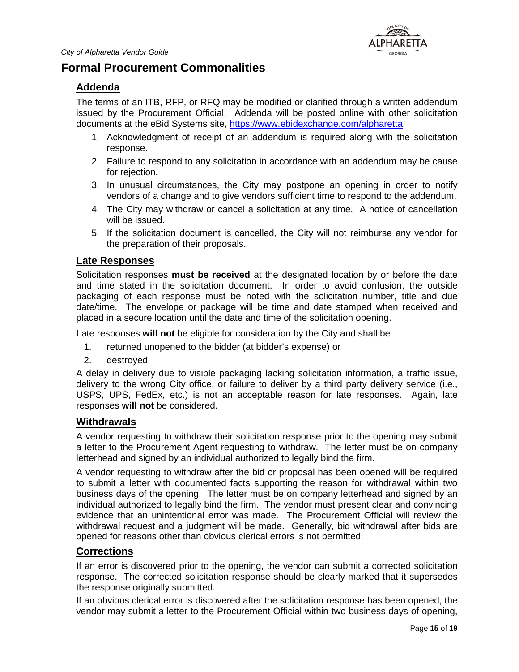

#### <span id="page-14-0"></span>**Formal Procurement Commonalities**

#### <span id="page-14-1"></span>**Addenda**

The terms of an ITB, RFP, or RFQ may be modified or clarified through a written addendum issued by the Procurement Official. Addenda will be posted online with other solicitation documents at the eBid Systems site, [https://www.ebidexchange.com/alpharetta.](https://www.ebidexchange.com/alpharetta)

- 1. Acknowledgment of receipt of an addendum is required along with the solicitation response.
- 2. Failure to respond to any solicitation in accordance with an addendum may be cause for rejection.
- 3. In unusual circumstances, the City may postpone an opening in order to notify vendors of a change and to give vendors sufficient time to respond to the addendum.
- 4. The City may withdraw or cancel a solicitation at any time. A notice of cancellation will be issued.
- 5. If the solicitation document is cancelled, the City will not reimburse any vendor for the preparation of their proposals.

#### <span id="page-14-2"></span>**Late Responses**

Solicitation responses **must be received** at the designated location by or before the date and time stated in the solicitation document. In order to avoid confusion, the outside packaging of each response must be noted with the solicitation number, title and due date/time. The envelope or package will be time and date stamped when received and placed in a secure location until the date and time of the solicitation opening.

Late responses **will not** be eligible for consideration by the City and shall be

- 1. returned unopened to the bidder (at bidder's expense) or
- 2. destroyed.

A delay in delivery due to visible packaging lacking solicitation information, a traffic issue, delivery to the wrong City office, or failure to deliver by a third party delivery service (i.e., USPS, UPS, FedEx, etc.) is not an acceptable reason for late responses. Again, late responses **will not** be considered.

#### <span id="page-14-3"></span>**Withdrawals**

A vendor requesting to withdraw their solicitation response prior to the opening may submit a letter to the Procurement Agent requesting to withdraw. The letter must be on company letterhead and signed by an individual authorized to legally bind the firm.

A vendor requesting to withdraw after the bid or proposal has been opened will be required to submit a letter with documented facts supporting the reason for withdrawal within two business days of the opening. The letter must be on company letterhead and signed by an individual authorized to legally bind the firm. The vendor must present clear and convincing evidence that an unintentional error was made. The Procurement Official will review the withdrawal request and a judgment will be made. Generally, bid withdrawal after bids are opened for reasons other than obvious clerical errors is not permitted.

#### <span id="page-14-4"></span>**Corrections**

If an error is discovered prior to the opening, the vendor can submit a corrected solicitation response. The corrected solicitation response should be clearly marked that it supersedes the response originally submitted.

If an obvious clerical error is discovered after the solicitation response has been opened, the vendor may submit a letter to the Procurement Official within two business days of opening,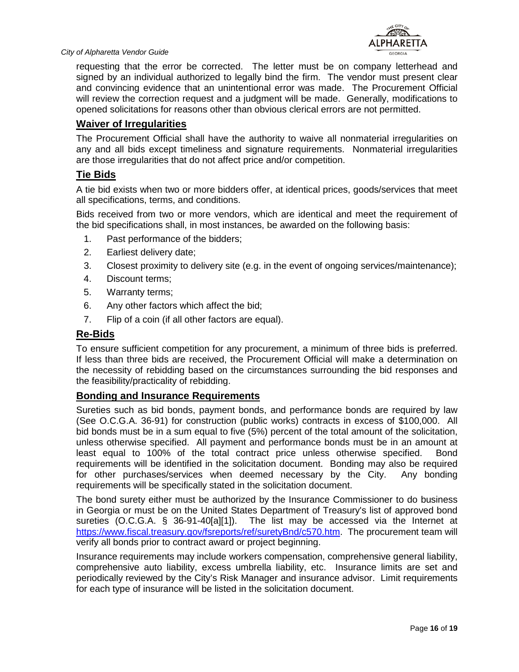

requesting that the error be corrected. The letter must be on company letterhead and signed by an individual authorized to legally bind the firm. The vendor must present clear and convincing evidence that an unintentional error was made. The Procurement Official will review the correction request and a judgment will be made. Generally, modifications to opened solicitations for reasons other than obvious clerical errors are not permitted.

#### <span id="page-15-0"></span>**Waiver of Irregularities**

The Procurement Official shall have the authority to waive all nonmaterial irregularities on any and all bids except timeliness and signature requirements. Nonmaterial irregularities are those irregularities that do not affect price and/or competition.

#### <span id="page-15-1"></span>**Tie Bids**

A tie bid exists when two or more bidders offer, at identical prices, goods/services that meet all specifications, terms, and conditions.

Bids received from two or more vendors, which are identical and meet the requirement of the bid specifications shall, in most instances, be awarded on the following basis:

- 1. Past performance of the bidders;
- 2. Earliest delivery date;
- 3. Closest proximity to delivery site (e.g. in the event of ongoing services/maintenance);
- 4. Discount terms;
- 5. Warranty terms;
- 6. Any other factors which affect the bid;
- 7. Flip of a coin (if all other factors are equal).

#### <span id="page-15-2"></span>**Re-Bids**

To ensure sufficient competition for any procurement, a minimum of three bids is preferred. If less than three bids are received, the Procurement Official will make a determination on the necessity of rebidding based on the circumstances surrounding the bid responses and the feasibility/practicality of rebidding.

#### <span id="page-15-3"></span>**Bonding and Insurance Requirements**

Sureties such as bid bonds, payment bonds, and performance bonds are required by law (See O.C.G.A. 36-91) for construction (public works) contracts in excess of \$100,000. All bid bonds must be in a sum equal to five (5%) percent of the total amount of the solicitation, unless otherwise specified. All payment and performance bonds must be in an amount at least equal to 100% of the total contract price unless otherwise specified. Bond requirements will be identified in the solicitation document. Bonding may also be required for other purchases/services when deemed necessary by the City. Any bonding requirements will be specifically stated in the solicitation document.

The bond surety either must be authorized by the Insurance Commissioner to do business in Georgia or must be on the United States Department of Treasury's list of approved bond sureties (O.C.G.A. § 36-91-40[a][1]). The list may be accessed via the Internet at [https://www.fiscal.treasury.gov/fsreports/ref/suretyBnd/c570.htm.](https://www.fiscal.treasury.gov/fsreports/ref/suretyBnd/c570.htm) The procurement team will verify all bonds prior to contract award or project beginning.

Insurance requirements may include workers compensation, comprehensive general liability, comprehensive auto liability, excess umbrella liability, etc. Insurance limits are set and periodically reviewed by the City's Risk Manager and insurance advisor. Limit requirements for each type of insurance will be listed in the solicitation document.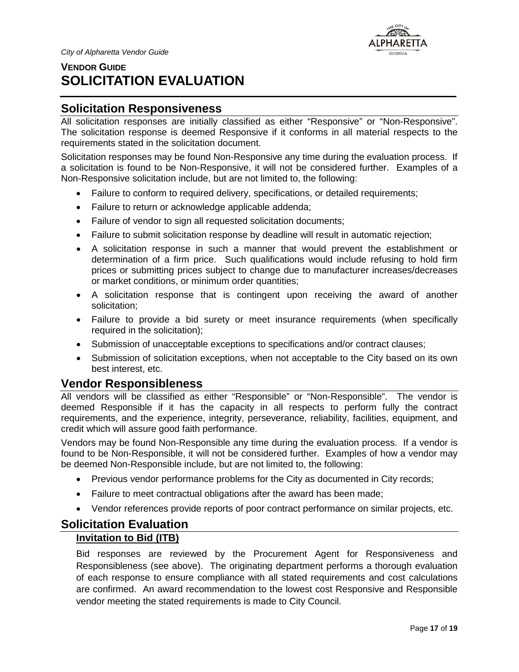

## <span id="page-16-0"></span>**VENDOR GUIDE SOLICITATION EVALUATION**

## <span id="page-16-1"></span>**Solicitation Responsiveness**

All solicitation responses are initially classified as either "Responsive" or "Non-Responsive". The solicitation response is deemed Responsive if it conforms in all material respects to the requirements stated in the solicitation document.

Solicitation responses may be found Non-Responsive any time during the evaluation process. If a solicitation is found to be Non-Responsive, it will not be considered further. Examples of a Non-Responsive solicitation include, but are not limited to, the following:

- Failure to conform to required delivery, specifications, or detailed requirements;
- Failure to return or acknowledge applicable addenda;
- Failure of vendor to sign all requested solicitation documents;
- Failure to submit solicitation response by deadline will result in automatic rejection;
- A solicitation response in such a manner that would prevent the establishment or determination of a firm price. Such qualifications would include refusing to hold firm prices or submitting prices subject to change due to manufacturer increases/decreases or market conditions, or minimum order quantities;
- A solicitation response that is contingent upon receiving the award of another solicitation;
- Failure to provide a bid surety or meet insurance requirements (when specifically required in the solicitation);
- Submission of unacceptable exceptions to specifications and/or contract clauses;
- Submission of solicitation exceptions, when not acceptable to the City based on its own best interest, etc.

#### <span id="page-16-2"></span>**Vendor Responsibleness**

All vendors will be classified as either "Responsible" or "Non-Responsible". The vendor is deemed Responsible if it has the capacity in all respects to perform fully the contract requirements, and the experience, integrity, perseverance, reliability, facilities, equipment, and credit which will assure good faith performance.

Vendors may be found Non-Responsible any time during the evaluation process. If a vendor is found to be Non-Responsible, it will not be considered further. Examples of how a vendor may be deemed Non-Responsible include, but are not limited to, the following:

- Previous vendor performance problems for the City as documented in City records;
- Failure to meet contractual obligations after the award has been made;
- Vendor references provide reports of poor contract performance on similar projects, etc.

#### <span id="page-16-4"></span><span id="page-16-3"></span>**Solicitation Evaluation**

#### **Invitation to Bid (ITB)**

Bid responses are reviewed by the Procurement Agent for Responsiveness and Responsibleness (see above). The originating department performs a thorough evaluation of each response to ensure compliance with all stated requirements and cost calculations are confirmed. An award recommendation to the lowest cost Responsive and Responsible vendor meeting the stated requirements is made to City Council.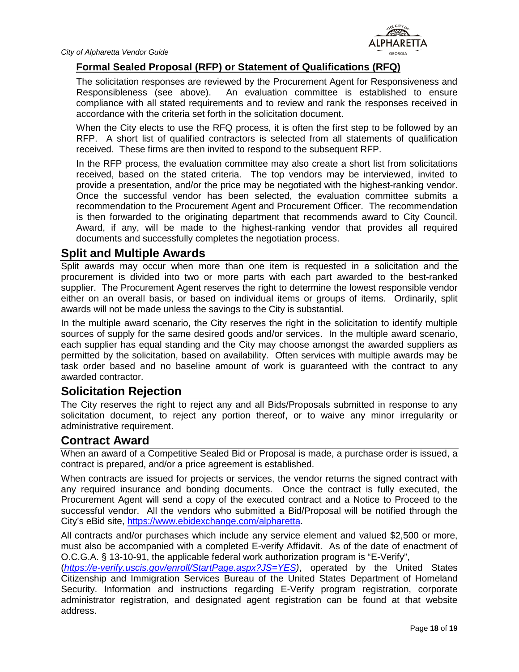

#### <span id="page-17-0"></span>**Formal Sealed Proposal (RFP) or Statement of Qualifications (RFQ)**

The solicitation responses are reviewed by the Procurement Agent for Responsiveness and Responsibleness (see above). An evaluation committee is established to ensure compliance with all stated requirements and to review and rank the responses received in accordance with the criteria set forth in the solicitation document.

When the City elects to use the RFQ process, it is often the first step to be followed by an RFP. A short list of qualified contractors is selected from all statements of qualification received. These firms are then invited to respond to the subsequent RFP.

In the RFP process, the evaluation committee may also create a short list from solicitations received, based on the stated criteria. The top vendors may be interviewed, invited to provide a presentation, and/or the price may be negotiated with the highest-ranking vendor. Once the successful vendor has been selected, the evaluation committee submits a recommendation to the Procurement Agent and Procurement Officer. The recommendation is then forwarded to the originating department that recommends award to City Council. Award, if any, will be made to the highest-ranking vendor that provides all required documents and successfully completes the negotiation process.

#### <span id="page-17-1"></span>**Split and Multiple Awards**

Split awards may occur when more than one item is requested in a solicitation and the procurement is divided into two or more parts with each part awarded to the best-ranked supplier. The Procurement Agent reserves the right to determine the lowest responsible vendor either on an overall basis, or based on individual items or groups of items. Ordinarily, split awards will not be made unless the savings to the City is substantial.

In the multiple award scenario, the City reserves the right in the solicitation to identify multiple sources of supply for the same desired goods and/or services. In the multiple award scenario, each supplier has equal standing and the City may choose amongst the awarded suppliers as permitted by the solicitation, based on availability. Often services with multiple awards may be task order based and no baseline amount of work is guaranteed with the contract to any awarded contractor.

#### <span id="page-17-2"></span>**Solicitation Rejection**

The City reserves the right to reject any and all Bids/Proposals submitted in response to any solicitation document, to reject any portion thereof, or to waive any minor irregularity or administrative requirement.

#### <span id="page-17-3"></span>**Contract Award**

When an award of a Competitive Sealed Bid or Proposal is made, a purchase order is issued, a contract is prepared, and/or a price agreement is established.

When contracts are issued for projects or services, the vendor returns the signed contract with any required insurance and bonding documents. Once the contract is fully executed, the Procurement Agent will send a copy of the executed contract and a Notice to Proceed to the successful vendor. All the vendors who submitted a Bid/Proposal will be notified through the City's eBid site, [https://www.ebidexchange.com/alpharetta.](https://www.ebidexchange.com/alpharetta)

All contracts and/or purchases which include any service element and valued \$2,500 or more, must also be accompanied with a completed E-verify Affidavit. As of the date of enactment of O.C.G.A. § 13-10-91, the applicable federal work authorization program is "E-Verify",

(*[https://e-verify.uscis.gov/enroll/StartPage.aspx?JS=YES\)](https://e-verify.uscis.gov/enroll/StartPage.aspx?JS=YES)*, operated by the United States Citizenship and Immigration Services Bureau of the United States Department of Homeland Security. Information and instructions regarding E-Verify program registration, corporate administrator registration, and designated agent registration can be found at that website address.